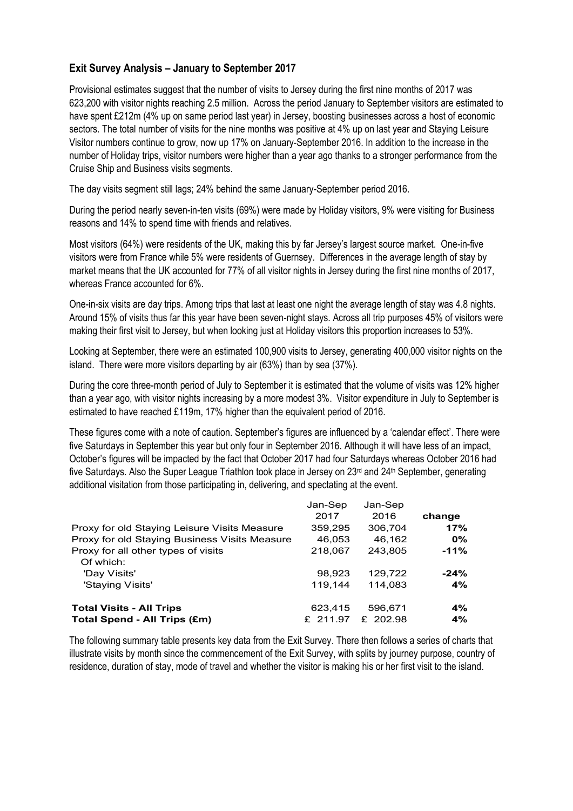## **Exit Survey Analysis – January to September 2017**

Provisional estimates suggest that the number of visits to Jersey during the first nine months of 2017 was 623,200 with visitor nights reaching 2.5 million. Across the period January to September visitors are estimated to have spent £212m (4% up on same period last year) in Jersey, boosting businesses across a host of economic sectors. The total number of visits for the nine months was positive at 4% up on last year and Staying Leisure Visitor numbers continue to grow, now up 17% on January-September 2016. In addition to the increase in the number of Holiday trips, visitor numbers were higher than a year ago thanks to a stronger performance from the Cruise Ship and Business visits segments.

The day visits segment still lags; 24% behind the same January-September period 2016.

During the period nearly seven-in-ten visits (69%) were made by Holiday visitors, 9% were visiting for Business reasons and 14% to spend time with friends and relatives.

Most visitors (64%) were residents of the UK, making this by far Jersey's largest source market. One-in-five visitors were from France while 5% were residents of Guernsey. Differences in the average length of stay by market means that the UK accounted for 77% of all visitor nights in Jersey during the first nine months of 2017, whereas France accounted for 6%.

One-in-six visits are day trips. Among trips that last at least one night the average length of stay was 4.8 nights. Around 15% of visits thus far this year have been seven-night stays. Across all trip purposes 45% of visitors were making their first visit to Jersey, but when looking just at Holiday visitors this proportion increases to 53%.

Looking at September, there were an estimated 100,900 visits to Jersey, generating 400,000 visitor nights on the island. There were more visitors departing by air (63%) than by sea (37%).

During the core three-month period of July to September it is estimated that the volume of visits was 12% higher than a year ago, with visitor nights increasing by a more modest 3%. Visitor expenditure in July to September is estimated to have reached £119m, 17% higher than the equivalent period of 2016.

These figures come with a note of caution. September's figures are influenced by a 'calendar effect'. There were five Saturdays in September this year but only four in September 2016. Although it will have less of an impact, October's figures will be impacted by the fact that October 2017 had four Saturdays whereas October 2016 had five Saturdays. Also the Super League Triathlon took place in Jersey on 23rd and 24<sup>th</sup> September, generating additional visitation from those participating in, delivering, and spectating at the event.

| Proxy for old Staying Leisure Visits Measure<br>Proxy for old Staying Business Visits Measure<br>Proxy for all other types of visits | Jan-Sep<br>2017<br>359,295<br>46,053<br>218,067 | Jan-Sep<br>2016<br>306,704<br>46,162<br>243.805 | change<br>17%<br>$0\%$<br>$-11%$ |
|--------------------------------------------------------------------------------------------------------------------------------------|-------------------------------------------------|-------------------------------------------------|----------------------------------|
| Of which:<br>'Day Visits'<br>'Staying Visits'                                                                                        | 98.923<br>119.144                               | 129.722<br>114.083                              | $-24%$<br>4%                     |
| <b>Total Visits - All Trips</b><br>Total Spend - All Trips (£m)                                                                      | 623,415<br>£ 211.97                             | 596.671<br>£ 202.98                             | 4%<br>4%                         |

The following summary table presents key data from the Exit Survey. There then follows a series of charts that illustrate visits by month since the commencement of the Exit Survey, with splits by journey purpose, country of residence, duration of stay, mode of travel and whether the visitor is making his or her first visit to the island.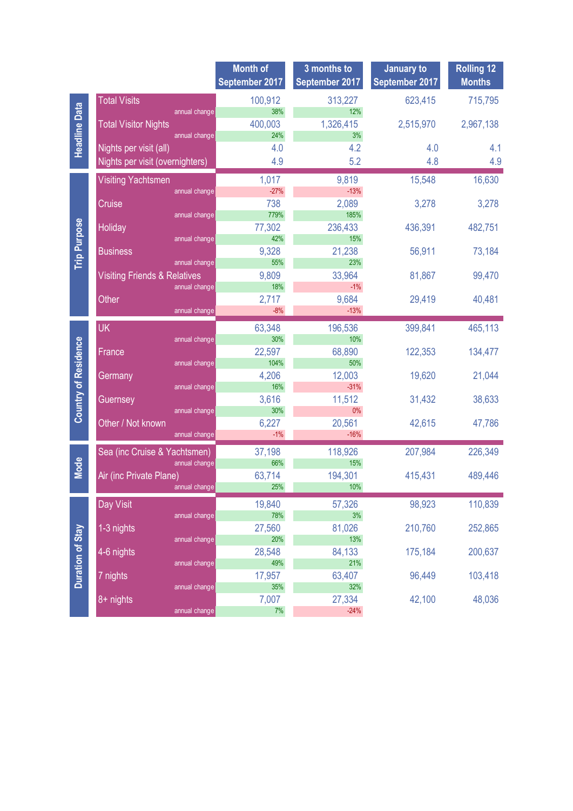|                             |                                              | <b>Month of</b><br>September 2017 | 3 months to<br>September 2017 | January to<br>September 2017 | <b>Rolling 12</b><br><b>Months</b> |
|-----------------------------|----------------------------------------------|-----------------------------------|-------------------------------|------------------------------|------------------------------------|
|                             |                                              |                                   |                               |                              |                                    |
| <b>Headline Data</b>        | <b>Total Visits</b>                          | 100,912                           | 313,227                       | 623,415                      | 715,795                            |
|                             | annual change<br><b>Total Visitor Nights</b> | 38%<br>400,003                    | 12%<br>1,326,415              |                              |                                    |
|                             | annual change                                | 24%                               | 3%                            | 2,515,970                    | 2,967,138                          |
|                             | Nights per visit (all)                       | 4.0                               | 4.2                           | 4.0                          | 4.1                                |
|                             | Nights per visit (overnighters)              | 4.9                               | 5.2                           | 4.8                          | 4.9                                |
|                             |                                              |                                   |                               |                              |                                    |
| <b>Trip Purpose</b>         | <b>Visiting Yachtsmen</b>                    | 1,017                             | 9,819                         | 15,548                       | 16,630                             |
|                             | annual change                                | $-27%$                            | $-13%$                        |                              |                                    |
|                             | Cruise<br>annual change                      | 738<br>779%                       | 2,089<br>185%                 | 3,278                        | 3,278                              |
|                             | Holiday                                      | 77,302                            | 236,433                       | 436,391                      | 482,751                            |
|                             | annual change                                | 42%                               | 15%                           |                              |                                    |
|                             | <b>Business</b>                              | 9,328                             | 21,238                        | 56,911                       | 73,184                             |
|                             | annual change                                | 55%                               | 23%                           |                              |                                    |
|                             | <b>Visiting Friends &amp; Relatives</b>      | 9,809                             | 33,964                        | 81,867                       | 99,470                             |
|                             | annual change                                | 18%                               | $-1\%$                        |                              |                                    |
|                             | Other                                        | 2,717                             | 9,684                         | 29,419                       | 40,481                             |
|                             | annual change                                | $-8%$                             | $-13%$                        |                              |                                    |
|                             | <b>UK</b>                                    | 63,348                            | 196,536                       | 399,841                      | 465,113                            |
|                             | annual change                                | 30%                               | 10%                           |                              |                                    |
|                             | France                                       | 22,597                            | 68,890                        | 122,353                      | 134,477                            |
|                             | annual change                                | 104%                              | 50%                           |                              |                                    |
|                             | Germany                                      | 4,206<br>16%                      | 12,003<br>$-31%$              | 19,620                       | 21,044                             |
|                             | annual change                                | 3,616                             | 11,512                        | 31,432                       | 38,633                             |
| <b>Country of Residence</b> | Guernsey<br>annual change                    | 30%                               | $0\%$                         |                              |                                    |
|                             | Other / Not known                            | 6,227                             | 20,561                        | 42,615                       | 47,786                             |
|                             | annual change                                | $-1%$                             | $-16%$                        |                              |                                    |
|                             | Sea (inc Cruise & Yachtsmen)                 | 37,198                            | 118,926                       | 207,984                      | 226,349                            |
| <b>Mode</b>                 | annual change                                | 66%                               | 15%                           |                              |                                    |
|                             | Air (inc Private Plane)                      | 63,714                            | 194,301                       | 415,431                      | 489,446                            |
|                             | annual change                                | 25%                               | 10%                           |                              |                                    |
|                             | Day Visit                                    | 19,840                            | 57,326                        | 98,923                       | 110,839                            |
|                             | annual change                                | 78%                               | $3%$                          |                              |                                    |
|                             | 1-3 nights                                   | 27,560                            | 81,026                        | 210,760                      | 252,865                            |
| <b>Duration of Stay</b>     | annual change                                | 20%                               | 13%                           |                              |                                    |
|                             | 4-6 nights                                   | 28,548                            | 84,133                        | 175,184                      | 200,637                            |
|                             | annual change                                | 49%                               | 21%                           |                              |                                    |
|                             | 7 nights                                     | 17,957                            | 63,407                        | 96,449                       | 103,418                            |
|                             | annual change                                | 35%                               | 32%                           |                              |                                    |
|                             | 8+ nights                                    | 7,007<br>7%                       | 27,334<br>$-24%$              | 42,100                       | 48,036                             |
|                             | annual change                                |                                   |                               |                              |                                    |